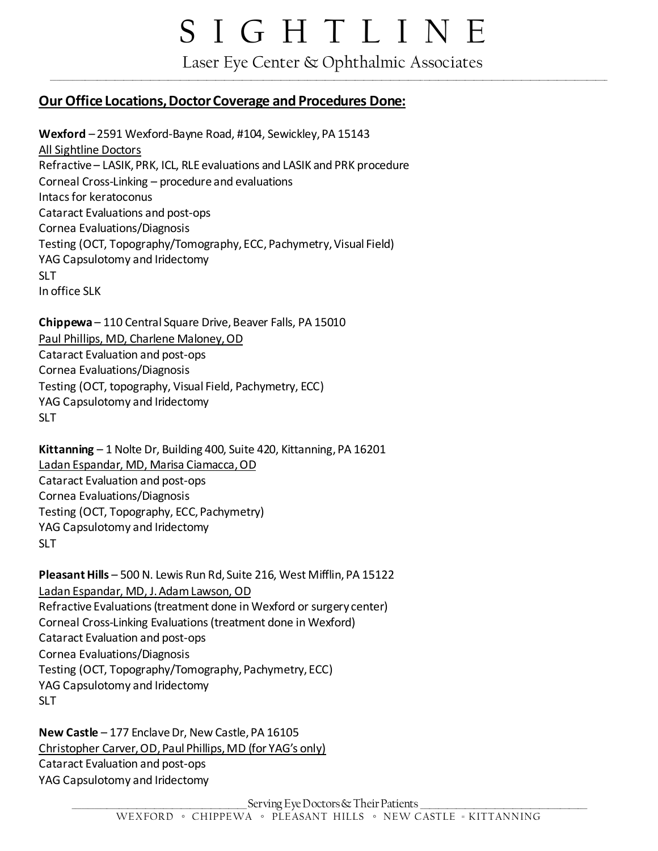## S I G H T L I N E

 Laser Eye Center & Ophthalmic Associates \_\_\_\_\_\_\_\_\_\_\_\_\_\_\_\_\_\_\_\_\_\_\_\_\_\_\_\_\_\_\_\_\_\_\_\_\_\_\_\_\_\_\_\_\_\_\_\_\_\_\_\_\_\_\_\_\_\_\_\_\_\_\_\_\_\_\_\_\_\_\_\_\_\_\_\_\_\_\_\_\_\_\_\_\_\_\_\_\_\_\_\_\_\_\_\_\_\_\_\_\_\_\_\_\_\_\_\_\_\_\_\_\_\_\_\_\_\_\_\_\_\_\_\_\_\_\_\_\_\_\_\_\_\_\_\_\_\_\_\_\_\_\_\_\_\_\_\_\_\_\_\_\_\_\_\_\_\_\_\_\_\_\_\_\_\_\_\_\_\_\_\_\_\_\_\_\_\_\_\_\_\_\_\_\_\_\_

### **Our Office Locations, Doctor Coverage and Procedures Done:**

**Wexford** – 2591 Wexford-Bayne Road, #104, Sewickley, PA 15143 All Sightline Doctors Refractive – LASIK, PRK, ICL, RLE evaluations and LASIK and PRK procedure Corneal Cross-Linking – procedure and evaluations Intacs for keratoconus Cataract Evaluations and post-ops Cornea Evaluations/Diagnosis Testing (OCT, Topography/Tomography, ECC, Pachymetry, Visual Field) YAG Capsulotomy and Iridectomy SLT. In office SLK

**Chippewa** – 110 Central Square Drive, Beaver Falls, PA 15010 Paul Phillips, MD, Charlene Maloney, OD Cataract Evaluation and post-ops Cornea Evaluations/Diagnosis Testing (OCT, topography, Visual Field, Pachymetry, ECC) YAG Capsulotomy and Iridectomy SLT.

**Kittanning** – 1 Nolte Dr, Building 400, Suite 420, Kittanning, PA 16201 Ladan Espandar, MD, Marisa Ciamacca, OD Cataract Evaluation and post-ops Cornea Evaluations/Diagnosis Testing (OCT, Topography, ECC, Pachymetry) YAG Capsulotomy and Iridectomy SLT

**Pleasant Hills** – 500 N. Lewis Run Rd, Suite 216, West Mifflin, PA 15122 Ladan Espandar, MD, J. Adam Lawson, OD Refractive Evaluations (treatment done in Wexford or surgery center) Corneal Cross-Linking Evaluations (treatment done in Wexford) Cataract Evaluation and post-ops Cornea Evaluations/Diagnosis Testing (OCT, Topography/Tomography, Pachymetry, ECC) YAG Capsulotomy and Iridectomy SLT

**New Castle** – 177 Enclave Dr, New Castle, PA 16105 Christopher Carver, OD, Paul Phillips, MD (for YAG's only) Cataract Evaluation and post-ops YAG Capsulotomy and Iridectomy